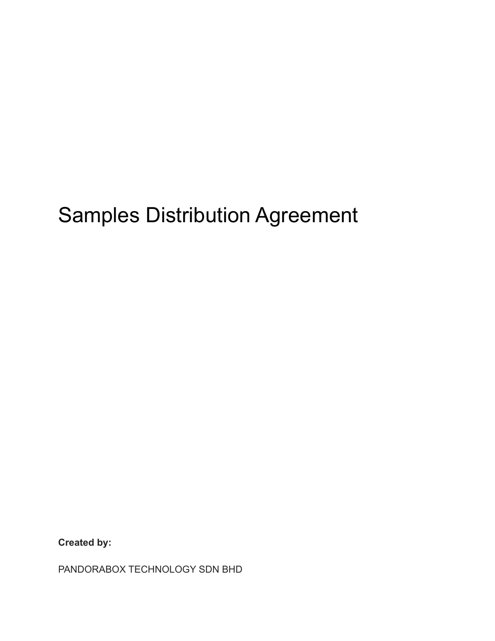# Samples Distribution Agreement

**Created by:**

PANDORABOX TECHNOLOGY SDN BHD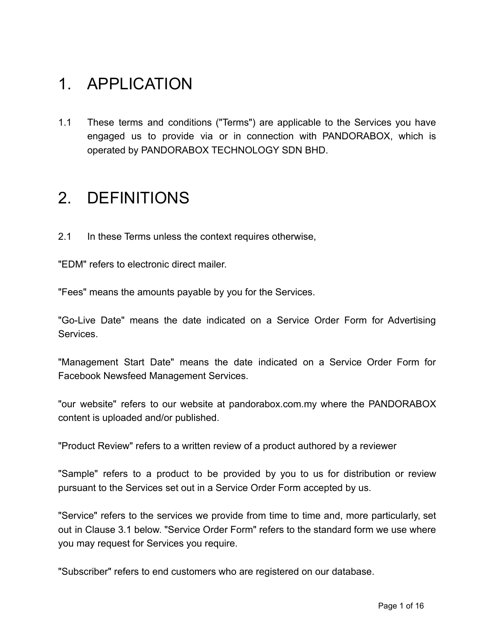## 1. APPLICATION

1.1 These terms and conditions ("Terms") are applicable to the Services you have engaged us to provide via or in connection with PANDORABOX, which is operated by PANDORABOX TECHNOLOGY SDN BHD.

### 2. DEFINITIONS

2.1 In these Terms unless the context requires otherwise,

"EDM" refers to electronic direct mailer.

"Fees" means the amounts payable by you for the Services.

"Go-Live Date" means the date indicated on a Service Order Form for Advertising Services.

"Management Start Date" means the date indicated on a Service Order Form for Facebook Newsfeed Management Services.

"our website" refers to our website at pandorabox.com.my where the PANDORABOX content is uploaded and/or published.

"Product Review" refers to a written review of a product authored by a reviewer

"Sample" refers to a product to be provided by you to us for distribution or review pursuant to the Services set out in a Service Order Form accepted by us.

"Service" refers to the services we provide from time to time and, more particularly, set out in Clause 3.1 below. "Service Order Form" refers to the standard form we use where you may request for Services you require.

"Subscriber" refers to end customers who are registered on our database.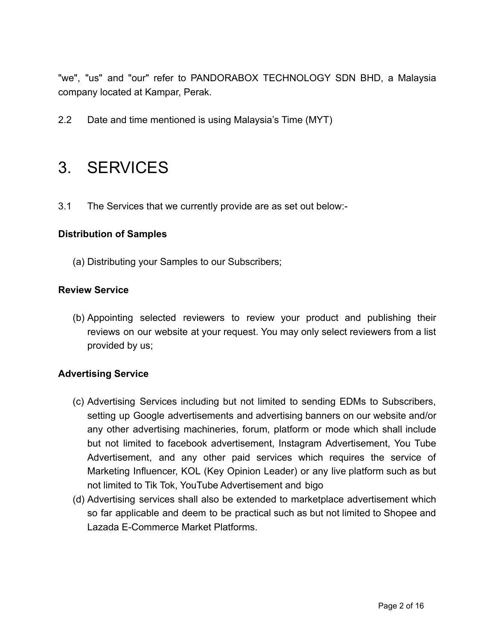"we", "us" and "our" refer to PANDORABOX TECHNOLOGY SDN BHD, a Malaysia company located at Kampar, Perak.

2.2 Date and time mentioned is using Malaysia's Time (MYT)

### 3. SERVICES

3.1 The Services that we currently provide are as set out below:-

#### **Distribution of Samples**

(a) Distributing your Samples to our Subscribers;

#### **Review Service**

(b) Appointing selected reviewers to review your product and publishing their reviews on our website at your request. You may only select reviewers from a list provided by us;

#### **Advertising Service**

- (c) Advertising Services including but not limited to sending EDMs to Subscribers, setting up Google advertisements and advertising banners on our website and/or any other advertising machineries, forum, platform or mode which shall include but not limited to facebook advertisement, Instagram Advertisement, You Tube Advertisement, and any other paid services which requires the service of Marketing Influencer, KOL (Key Opinion Leader) or any live platform such as but not limited to Tik Tok, YouTube Advertisement and bigo
- (d) Advertising services shall also be extended to marketplace advertisement which so far applicable and deem to be practical such as but not limited to Shopee and Lazada E-Commerce Market Platforms.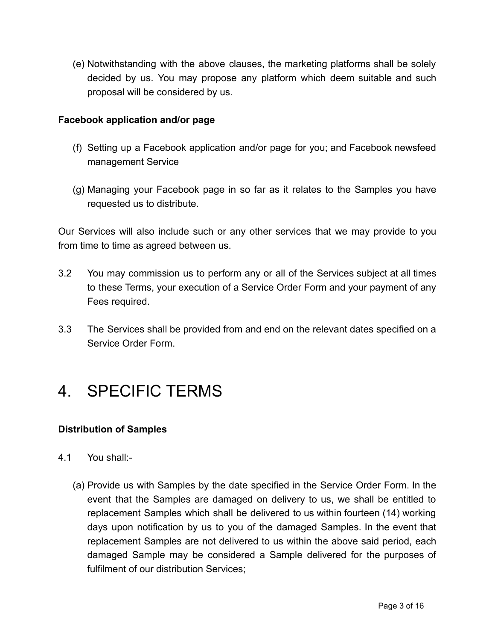(e) Notwithstanding with the above clauses, the marketing platforms shall be solely decided by us. You may propose any platform which deem suitable and such proposal will be considered by us.

### **Facebook application and/or page**

- (f) Setting up a Facebook application and/or page for you; and Facebook newsfeed management Service
- (g) Managing your Facebook page in so far as it relates to the Samples you have requested us to distribute.

Our Services will also include such or any other services that we may provide to you from time to time as agreed between us.

- 3.2 You may commission us to perform any or all of the Services subject at all times to these Terms, your execution of a Service Order Form and your payment of any Fees required.
- 3.3 The Services shall be provided from and end on the relevant dates specified on a Service Order Form.

## 4. SPECIFIC TERMS

#### **Distribution of Samples**

- 4.1 You shall:-
	- (a) Provide us with Samples by the date specified in the Service Order Form. In the event that the Samples are damaged on delivery to us, we shall be entitled to replacement Samples which shall be delivered to us within fourteen (14) working days upon notification by us to you of the damaged Samples. In the event that replacement Samples are not delivered to us within the above said period, each damaged Sample may be considered a Sample delivered for the purposes of fulfilment of our distribution Services;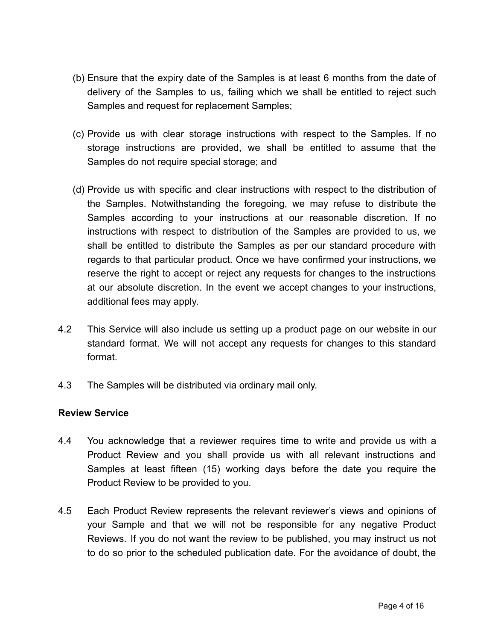- (b) Ensure that the expiry date of the Samples is at least 6 months from the date of delivery of the Samples to us, failing which we shall be entitled to reject such Samples and request for replacement Samples;
- (c) Provide us with clear storage instructions with respect to the Samples. If no storage instructions are provided, we shall be entitled to assume that the Samples do not require special storage; and
- (d) Provide us with specific and clear instructions with respect to the distribution of the Samples. Notwithstanding the foregoing, we may refuse to distribute the Samples according to your instructions at our reasonable discretion. If no instructions with respect to distribution of the Samples are provided to us, we shall be entitled to distribute the Samples as per our standard procedure with regards to that particular product. Once we have confirmed your instructions, we reserve the right to accept or reject any requests for changes to the instructions at our absolute discretion. In the event we accept changes to your instructions, additional fees may apply.
- 4.2 This Service will also include us setting up a product page on our website in our standard format. We will not accept any requests for changes to this standard format.
- 4.3 The Samples will be distributed via ordinary mail only.

#### **Review Service**

- 4.4 You acknowledge that a reviewer requires time to write and provide us with a Product Review and you shall provide us with all relevant instructions and Samples at least fifteen (15) working days before the date you require the Product Review to be provided to you.
- 4.5 Each Product Review represents the relevant reviewer's views and opinions of your Sample and that we will not be responsible for any negative Product Reviews. If you do not want the review to be published, you may instruct us not to do so prior to the scheduled publication date. For the avoidance of doubt, the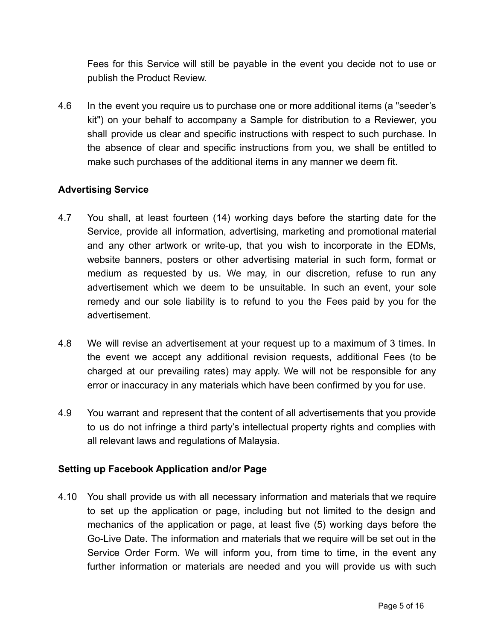Fees for this Service will still be payable in the event you decide not to use or publish the Product Review.

4.6 In the event you require us to purchase one or more additional items (a "seeder's kit") on your behalf to accompany a Sample for distribution to a Reviewer, you shall provide us clear and specific instructions with respect to such purchase. In the absence of clear and specific instructions from you, we shall be entitled to make such purchases of the additional items in any manner we deem fit.

### **Advertising Service**

- 4.7 You shall, at least fourteen (14) working days before the starting date for the Service, provide all information, advertising, marketing and promotional material and any other artwork or write-up, that you wish to incorporate in the EDMs, website banners, posters or other advertising material in such form, format or medium as requested by us. We may, in our discretion, refuse to run any advertisement which we deem to be unsuitable. In such an event, your sole remedy and our sole liability is to refund to you the Fees paid by you for the advertisement.
- 4.8 We will revise an advertisement at your request up to a maximum of 3 times. In the event we accept any additional revision requests, additional Fees (to be charged at our prevailing rates) may apply. We will not be responsible for any error or inaccuracy in any materials which have been confirmed by you for use.
- 4.9 You warrant and represent that the content of all advertisements that you provide to us do not infringe a third party's intellectual property rights and complies with all relevant laws and regulations of Malaysia.

### **Setting up Facebook Application and/or Page**

4.10 You shall provide us with all necessary information and materials that we require to set up the application or page, including but not limited to the design and mechanics of the application or page, at least five (5) working days before the Go-Live Date. The information and materials that we require will be set out in the Service Order Form. We will inform you, from time to time, in the event any further information or materials are needed and you will provide us with such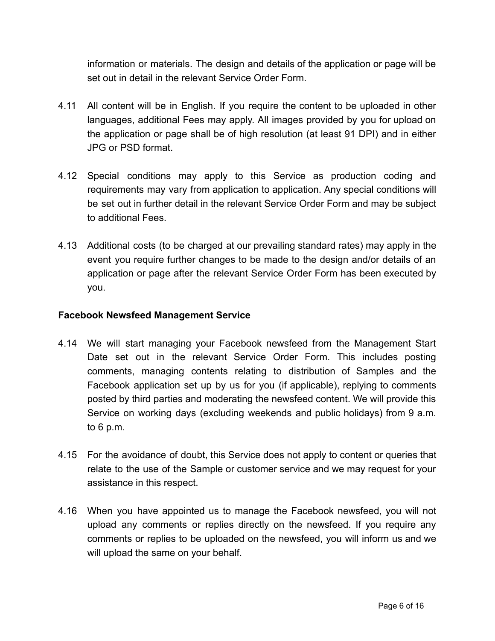information or materials. The design and details of the application or page will be set out in detail in the relevant Service Order Form.

- 4.11 All content will be in English. If you require the content to be uploaded in other languages, additional Fees may apply. All images provided by you for upload on the application or page shall be of high resolution (at least 91 DPI) and in either JPG or PSD format.
- 4.12 Special conditions may apply to this Service as production coding and requirements may vary from application to application. Any special conditions will be set out in further detail in the relevant Service Order Form and may be subject to additional Fees.
- 4.13 Additional costs (to be charged at our prevailing standard rates) may apply in the event you require further changes to be made to the design and/or details of an application or page after the relevant Service Order Form has been executed by you.

### **Facebook Newsfeed Management Service**

- 4.14 We will start managing your Facebook newsfeed from the Management Start Date set out in the relevant Service Order Form. This includes posting comments, managing contents relating to distribution of Samples and the Facebook application set up by us for you (if applicable), replying to comments posted by third parties and moderating the newsfeed content. We will provide this Service on working days (excluding weekends and public holidays) from 9 a.m. to 6 p.m.
- 4.15 For the avoidance of doubt, this Service does not apply to content or queries that relate to the use of the Sample or customer service and we may request for your assistance in this respect.
- 4.16 When you have appointed us to manage the Facebook newsfeed, you will not upload any comments or replies directly on the newsfeed. If you require any comments or replies to be uploaded on the newsfeed, you will inform us and we will upload the same on your behalf.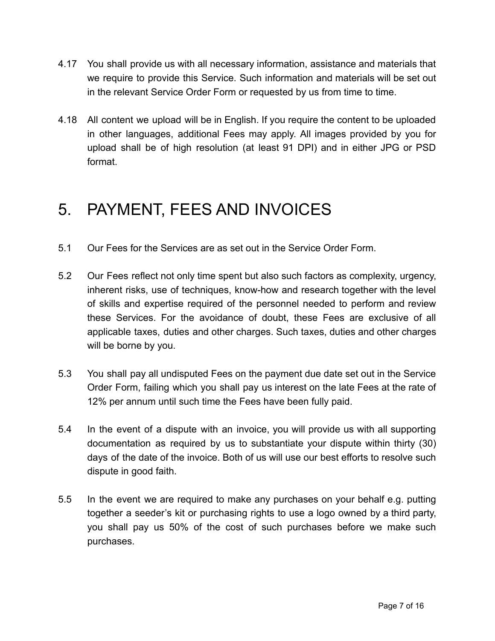- 4.17 You shall provide us with all necessary information, assistance and materials that we require to provide this Service. Such information and materials will be set out in the relevant Service Order Form or requested by us from time to time.
- 4.18 All content we upload will be in English. If you require the content to be uploaded in other languages, additional Fees may apply. All images provided by you for upload shall be of high resolution (at least 91 DPI) and in either JPG or PSD format.

## 5. PAYMENT, FEES AND INVOICES

- 5.1 Our Fees for the Services are as set out in the Service Order Form.
- 5.2 Our Fees reflect not only time spent but also such factors as complexity, urgency, inherent risks, use of techniques, know-how and research together with the level of skills and expertise required of the personnel needed to perform and review these Services. For the avoidance of doubt, these Fees are exclusive of all applicable taxes, duties and other charges. Such taxes, duties and other charges will be borne by you.
- 5.3 You shall pay all undisputed Fees on the payment due date set out in the Service Order Form, failing which you shall pay us interest on the late Fees at the rate of 12% per annum until such time the Fees have been fully paid.
- 5.4 In the event of a dispute with an invoice, you will provide us with all supporting documentation as required by us to substantiate your dispute within thirty (30) days of the date of the invoice. Both of us will use our best efforts to resolve such dispute in good faith.
- 5.5 In the event we are required to make any purchases on your behalf e.g. putting together a seeder's kit or purchasing rights to use a logo owned by a third party, you shall pay us 50% of the cost of such purchases before we make such purchases.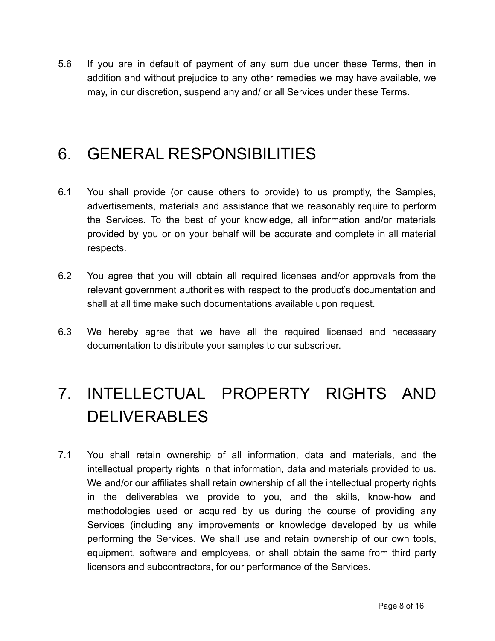5.6 If you are in default of payment of any sum due under these Terms, then in addition and without prejudice to any other remedies we may have available, we may, in our discretion, suspend any and/ or all Services under these Terms.

### 6. GENERAL RESPONSIBILITIES

- 6.1 You shall provide (or cause others to provide) to us promptly, the Samples, advertisements, materials and assistance that we reasonably require to perform the Services. To the best of your knowledge, all information and/or materials provided by you or on your behalf will be accurate and complete in all material respects.
- 6.2 You agree that you will obtain all required licenses and/or approvals from the relevant government authorities with respect to the product's documentation and shall at all time make such documentations available upon request.
- 6.3 We hereby agree that we have all the required licensed and necessary documentation to distribute your samples to our subscriber.

## 7. INTELLECTUAL PROPERTY RIGHTS AND DELIVERABLES

7.1 You shall retain ownership of all information, data and materials, and the intellectual property rights in that information, data and materials provided to us. We and/or our affiliates shall retain ownership of all the intellectual property rights in the deliverables we provide to you, and the skills, know-how and methodologies used or acquired by us during the course of providing any Services (including any improvements or knowledge developed by us while performing the Services. We shall use and retain ownership of our own tools, equipment, software and employees, or shall obtain the same from third party licensors and subcontractors, for our performance of the Services.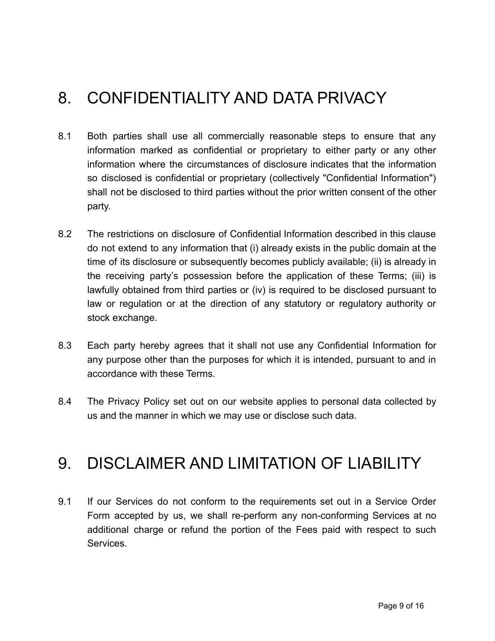## 8. CONFIDENTIALITY AND DATA PRIVACY

- 8.1 Both parties shall use all commercially reasonable steps to ensure that any information marked as confidential or proprietary to either party or any other information where the circumstances of disclosure indicates that the information so disclosed is confidential or proprietary (collectively "Confidential Information") shall not be disclosed to third parties without the prior written consent of the other party.
- 8.2 The restrictions on disclosure of Confidential Information described in this clause do not extend to any information that (i) already exists in the public domain at the time of its disclosure or subsequently becomes publicly available; (ii) is already in the receiving party's possession before the application of these Terms; (iii) is lawfully obtained from third parties or (iv) is required to be disclosed pursuant to law or regulation or at the direction of any statutory or regulatory authority or stock exchange.
- 8.3 Each party hereby agrees that it shall not use any Confidential Information for any purpose other than the purposes for which it is intended, pursuant to and in accordance with these Terms.
- 8.4 The Privacy Policy set out on our website applies to personal data collected by us and the manner in which we may use or disclose such data.

## 9. DISCLAIMER AND LIMITATION OF LIABILITY

9.1 If our Services do not conform to the requirements set out in a Service Order Form accepted by us, we shall re-perform any non-conforming Services at no additional charge or refund the portion of the Fees paid with respect to such Services.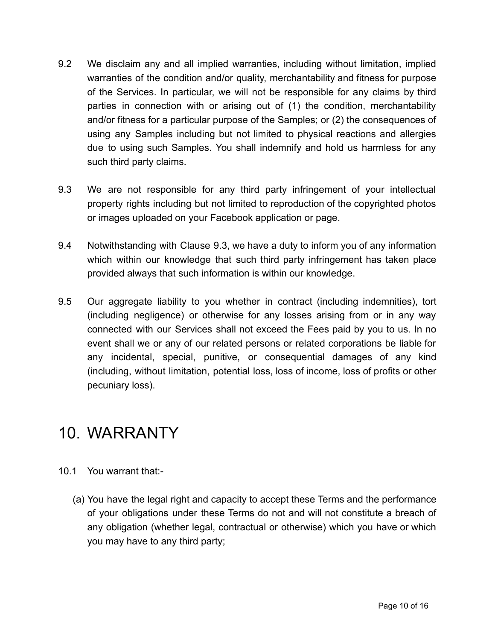- 9.2 We disclaim any and all implied warranties, including without limitation, implied warranties of the condition and/or quality, merchantability and fitness for purpose of the Services. In particular, we will not be responsible for any claims by third parties in connection with or arising out of (1) the condition, merchantability and/or fitness for a particular purpose of the Samples; or (2) the consequences of using any Samples including but not limited to physical reactions and allergies due to using such Samples. You shall indemnify and hold us harmless for any such third party claims.
- 9.3 We are not responsible for any third party infringement of your intellectual property rights including but not limited to reproduction of the copyrighted photos or images uploaded on your Facebook application or page.
- 9.4 Notwithstanding with Clause 9.3, we have a duty to inform you of any information which within our knowledge that such third party infringement has taken place provided always that such information is within our knowledge.
- 9.5 Our aggregate liability to you whether in contract (including indemnities), tort (including negligence) or otherwise for any losses arising from or in any way connected with our Services shall not exceed the Fees paid by you to us. In no event shall we or any of our related persons or related corporations be liable for any incidental, special, punitive, or consequential damages of any kind (including, without limitation, potential loss, loss of income, loss of profits or other pecuniary loss).

## 10. WARRANTY

- 10.1 You warrant that:-
	- (a) You have the legal right and capacity to accept these Terms and the performance of your obligations under these Terms do not and will not constitute a breach of any obligation (whether legal, contractual or otherwise) which you have or which you may have to any third party;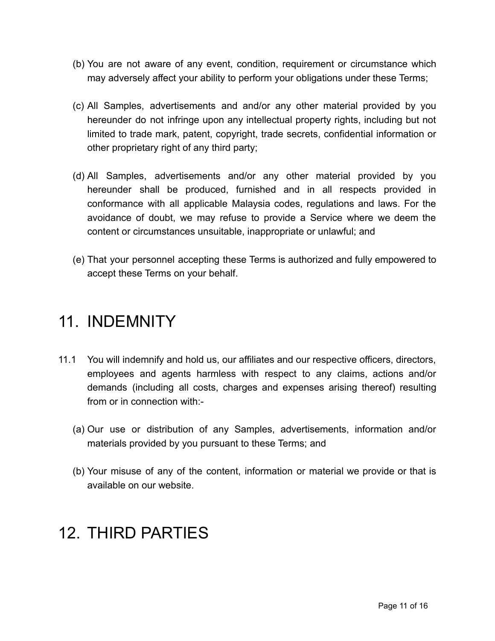- (b) You are not aware of any event, condition, requirement or circumstance which may adversely affect your ability to perform your obligations under these Terms;
- (c) All Samples, advertisements and and/or any other material provided by you hereunder do not infringe upon any intellectual property rights, including but not limited to trade mark, patent, copyright, trade secrets, confidential information or other proprietary right of any third party;
- (d) All Samples, advertisements and/or any other material provided by you hereunder shall be produced, furnished and in all respects provided in conformance with all applicable Malaysia codes, regulations and laws. For the avoidance of doubt, we may refuse to provide a Service where we deem the content or circumstances unsuitable, inappropriate or unlawful; and
- (e) That your personnel accepting these Terms is authorized and fully empowered to accept these Terms on your behalf.

### 11. INDEMNITY

- 11.1 You will indemnify and hold us, our affiliates and our respective officers, directors, employees and agents harmless with respect to any claims, actions and/or demands (including all costs, charges and expenses arising thereof) resulting from or in connection with:-
	- (a) Our use or distribution of any Samples, advertisements, information and/or materials provided by you pursuant to these Terms; and
	- (b) Your misuse of any of the content, information or material we provide or that is available on our website.

## 12. THIRD PARTIES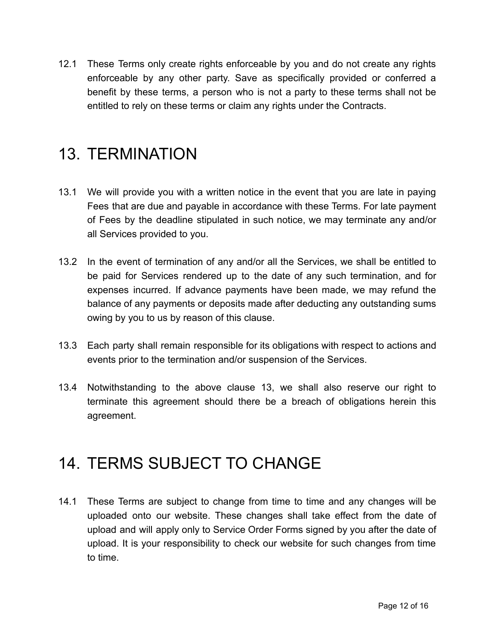12.1 These Terms only create rights enforceable by you and do not create any rights enforceable by any other party. Save as specifically provided or conferred a benefit by these terms, a person who is not a party to these terms shall not be entitled to rely on these terms or claim any rights under the Contracts.

### 13. TERMINATION

- 13.1 We will provide you with a written notice in the event that you are late in paying Fees that are due and payable in accordance with these Terms. For late payment of Fees by the deadline stipulated in such notice, we may terminate any and/or all Services provided to you.
- 13.2 In the event of termination of any and/or all the Services, we shall be entitled to be paid for Services rendered up to the date of any such termination, and for expenses incurred. If advance payments have been made, we may refund the balance of any payments or deposits made after deducting any outstanding sums owing by you to us by reason of this clause.
- 13.3 Each party shall remain responsible for its obligations with respect to actions and events prior to the termination and/or suspension of the Services.
- 13.4 Notwithstanding to the above clause 13, we shall also reserve our right to terminate this agreement should there be a breach of obligations herein this agreement.

## 14. TERMS SUBJECT TO CHANGE

14.1 These Terms are subject to change from time to time and any changes will be uploaded onto our website. These changes shall take effect from the date of upload and will apply only to Service Order Forms signed by you after the date of upload. It is your responsibility to check our website for such changes from time to time.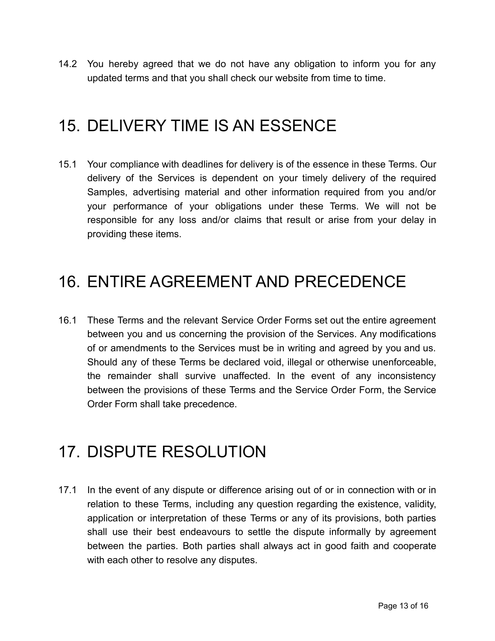14.2 You hereby agreed that we do not have any obligation to inform you for any updated terms and that you shall check our website from time to time.

## 15. DELIVERY TIME IS AN ESSENCE

15.1 Your compliance with deadlines for delivery is of the essence in these Terms. Our delivery of the Services is dependent on your timely delivery of the required Samples, advertising material and other information required from you and/or your performance of your obligations under these Terms. We will not be responsible for any loss and/or claims that result or arise from your delay in providing these items.

## 16. ENTIRE AGREEMENT AND PRECEDENCE

16.1 These Terms and the relevant Service Order Forms set out the entire agreement between you and us concerning the provision of the Services. Any modifications of or amendments to the Services must be in writing and agreed by you and us. Should any of these Terms be declared void, illegal or otherwise unenforceable, the remainder shall survive unaffected. In the event of any inconsistency between the provisions of these Terms and the Service Order Form, the Service Order Form shall take precedence.

## 17. DISPUTE RESOLUTION

17.1 In the event of any dispute or difference arising out of or in connection with or in relation to these Terms, including any question regarding the existence, validity, application or interpretation of these Terms or any of its provisions, both parties shall use their best endeavours to settle the dispute informally by agreement between the parties. Both parties shall always act in good faith and cooperate with each other to resolve any disputes.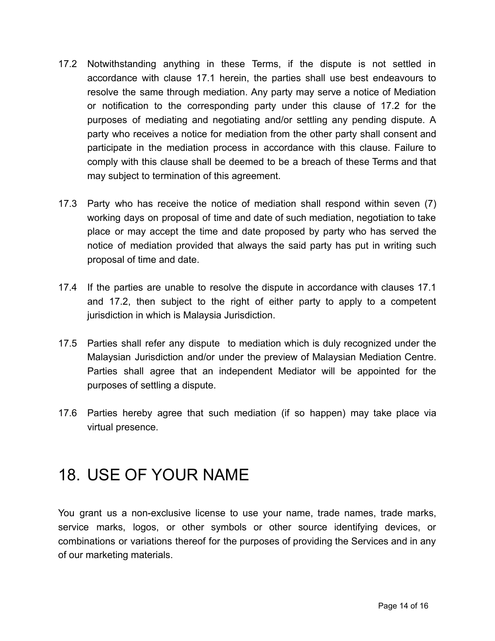- 17.2 Notwithstanding anything in these Terms, if the dispute is not settled in accordance with clause 17.1 herein, the parties shall use best endeavours to resolve the same through mediation. Any party may serve a notice of Mediation or notification to the corresponding party under this clause of 17.2 for the purposes of mediating and negotiating and/or settling any pending dispute. A party who receives a notice for mediation from the other party shall consent and participate in the mediation process in accordance with this clause. Failure to comply with this clause shall be deemed to be a breach of these Terms and that may subject to termination of this agreement.
- 17.3 Party who has receive the notice of mediation shall respond within seven (7) working days on proposal of time and date of such mediation, negotiation to take place or may accept the time and date proposed by party who has served the notice of mediation provided that always the said party has put in writing such proposal of time and date.
- 17.4 If the parties are unable to resolve the dispute in accordance with clauses 17.1 and 17.2, then subject to the right of either party to apply to a competent jurisdiction in which is Malaysia Jurisdiction.
- 17.5 Parties shall refer any dispute to mediation which is duly recognized under the Malaysian Jurisdiction and/or under the preview of Malaysian Mediation Centre. Parties shall agree that an independent Mediator will be appointed for the purposes of settling a dispute.
- 17.6 Parties hereby agree that such mediation (if so happen) may take place via virtual presence.

## 18. USE OF YOUR NAME

You grant us a non-exclusive license to use your name, trade names, trade marks, service marks, logos, or other symbols or other source identifying devices, or combinations or variations thereof for the purposes of providing the Services and in any of our marketing materials.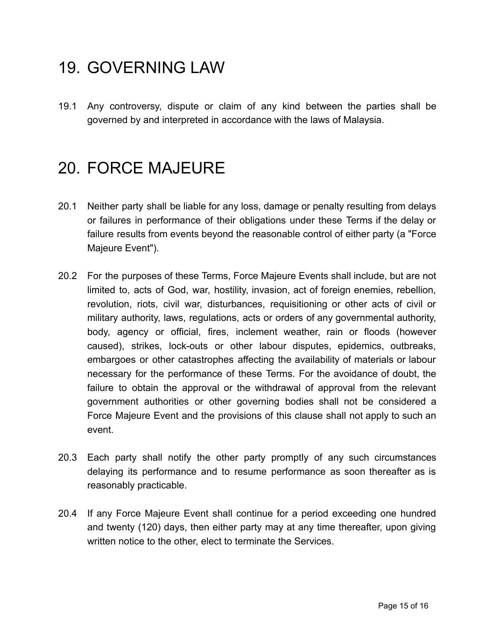## 19. GOVERNING LAW

19.1 Any controversy, dispute or claim of any kind between the parties shall be governed by and interpreted in accordance with the laws of Malaysia.

## 20. FORCE MAJEURE

- 20.1 Neither party shall be liable for any loss, damage or penalty resulting from delays or failures in performance of their obligations under these Terms if the delay or failure results from events beyond the reasonable control of either party (a "Force Majeure Event").
- 20.2 For the purposes of these Terms, Force Majeure Events shall include, but are not limited to, acts of God, war, hostility, invasion, act of foreign enemies, rebellion, revolution, riots, civil war, disturbances, requisitioning or other acts of civil or military authority, laws, regulations, acts or orders of any governmental authority, body, agency or official, fires, inclement weather, rain or floods (however caused), strikes, lock-outs or other labour disputes, epidemics, outbreaks, embargoes or other catastrophes affecting the availability of materials or labour necessary for the performance of these Terms. For the avoidance of doubt, the failure to obtain the approval or the withdrawal of approval from the relevant government authorities or other governing bodies shall not be considered a Force Majeure Event and the provisions of this clause shall not apply to such an event.
- 20.3 Each party shall notify the other party promptly of any such circumstances delaying its performance and to resume performance as soon thereafter as is reasonably practicable.
- 20.4 If any Force Majeure Event shall continue for a period exceeding one hundred and twenty (120) days, then either party may at any time thereafter, upon giving written notice to the other, elect to terminate the Services.